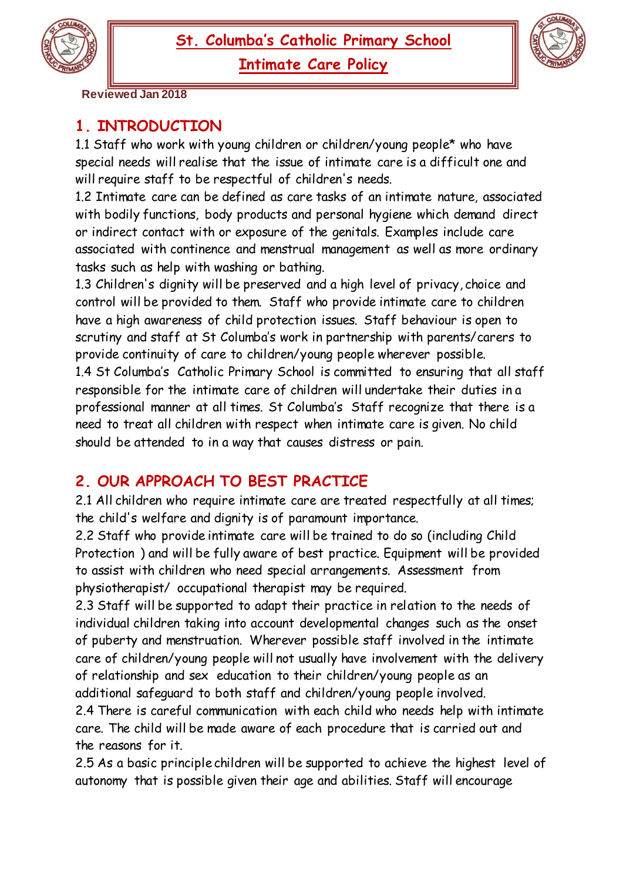**Intimate Care Policy**



 **Reviewed Jan 2018**

## **1. INTRODUCTION**

1.1 Staff who work with young children or children/young people\* who have special needs will realise that the issue of intimate care is a difficult one and will require staff to be respectful of children's needs.

1.2 Intimate care can be defined as care tasks of an intimate nature, associated with bodily functions, body products and personal hygiene which demand direct or indirect contact with or exposure of the genitals. Examples include care associated with continence and menstrual management as well as more ordinary tasks such as help with washing or bathing.

1.3 Children's dignity will be preserved and a high level of privacy, choice and control will be provided to them. Staff who provide intimate care to children have a high awareness of child protection issues. Staff behaviour is open to scrutiny and staff at St Columba's work in partnership with parents/carers to provide continuity of care to children/young people wherever possible. 1.4 St Columba's Catholic Primary School is committed to ensuring that all staff responsible for the intimate care of children will undertake their duties in a professional manner at all times. St Columba's Staff recognize that there is a need to treat all children with respect when intimate care is given. No child should be attended to in a way that causes distress or pain.

## **2. OUR APPROACH TO BEST PRACTICE**

2.1 All children who require intimate care are treated respectfully at all times; the child's welfare and dignity is of paramount importance.

2.2 Staff who provide intimate care will be trained to do so (including Child Protection ) and will be fully aware of best practice. Equipment will be provided to assist with children who need special arrangements. Assessment from physiotherapist/ occupational therapist may be required.

2.3 Staff will be supported to adapt their practice in relation to the needs of individual children taking into account developmental changes such as the onset of puberty and menstruation. Wherever possible staff involved in the intimate care of children/young people will not usually have involvement with the delivery of relationship and sex education to their children/young people as an additional safeguard to both staff and children/young people involved.

2.4 There is careful communication with each child who needs help with intimate care. The child will be made aware of each procedure that is carried out and the reasons for it.

2.5 As a basic principle children will be supported to achieve the highest level of autonomy that is possible given their age and abilities. Staff will encourage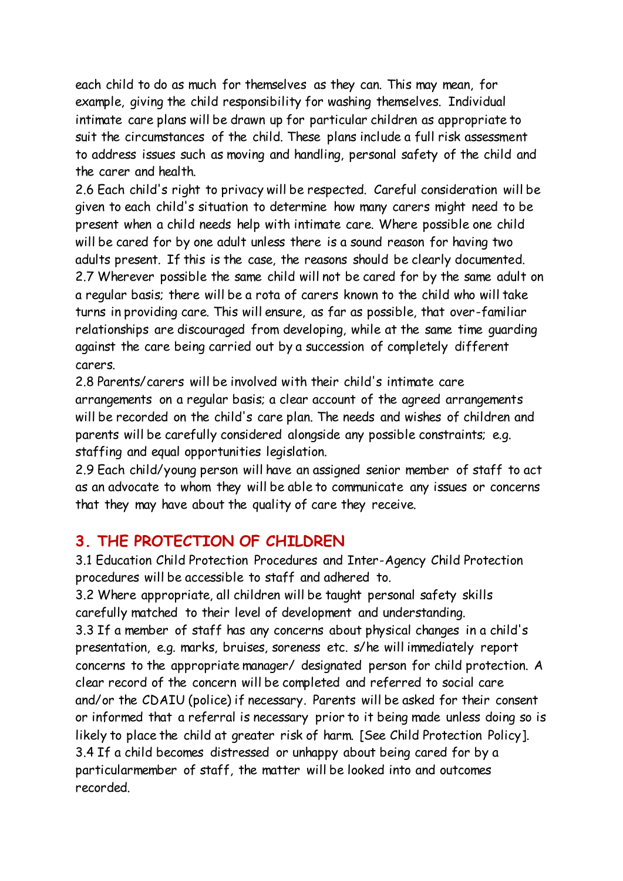each child to do as much for themselves as they can. This may mean, for example, giving the child responsibility for washing themselves. Individual intimate care plans will be drawn up for particular children as appropriate to suit the circumstances of the child. These plans include a full risk assessment to address issues such as moving and handling, personal safety of the child and the carer and health.

2.6 Each child's right to privacy will be respected. Careful consideration will be given to each child's situation to determine how many carers might need to be present when a child needs help with intimate care. Where possible one child will be cared for by one adult unless there is a sound reason for having two adults present. If this is the case, the reasons should be clearly documented. 2.7 Wherever possible the same child will not be cared for by the same adult on a regular basis; there will be a rota of carers known to the child who will take turns in providing care. This will ensure, as far as possible, that over-familiar relationships are discouraged from developing, while at the same time guarding against the care being carried out by a succession of completely different carers.

2.8 Parents/carers will be involved with their child's intimate care arrangements on a regular basis; a clear account of the agreed arrangements will be recorded on the child's care plan. The needs and wishes of children and parents will be carefully considered alongside any possible constraints; e.g. staffing and equal opportunities legislation.

2.9 Each child/young person will have an assigned senior member of staff to act as an advocate to whom they will be able to communicate any issues or concerns that they may have about the quality of care they receive.

## **3. THE PROTECTION OF CHILDREN**

3.1 Education Child Protection Procedures and Inter-Agency Child Protection procedures will be accessible to staff and adhered to.

3.2 Where appropriate, all children will be taught personal safety skills carefully matched to their level of development and understanding.

3.3 If a member of staff has any concerns about physical changes in a child's presentation, e.g. marks, bruises, soreness etc. s/he will immediately report concerns to the appropriate manager/ designated person for child protection. A clear record of the concern will be completed and referred to social care and/or the CDAIU (police) if necessary. Parents will be asked for their consent or informed that a referral is necessary prior to it being made unless doing so is likely to place the child at greater risk of harm. [See Child Protection Policy]. 3.4 If a child becomes distressed or unhappy about being cared for by a particularmember of staff, the matter will be looked into and outcomes recorded.